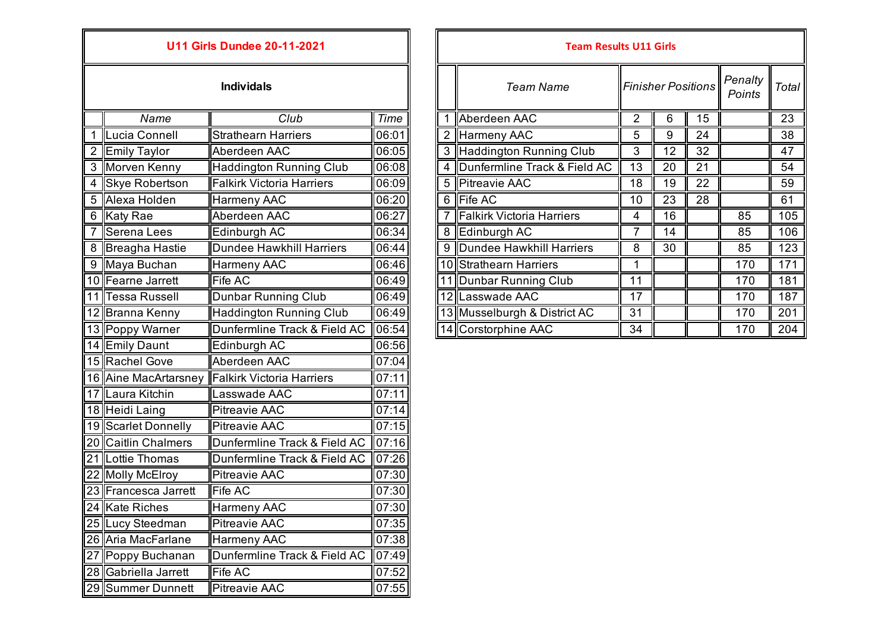| <b>U11 Girls Dundee 20-11-2021</b> |                       |                                  |       |  | <b>Team Results U11 Girls</b>   |                   |    |  |
|------------------------------------|-----------------------|----------------------------------|-------|--|---------------------------------|-------------------|----|--|
|                                    |                       | <b>Individals</b>                |       |  | <b>Team Name</b>                | <b>Finisher P</b> |    |  |
|                                    | Name                  | Club                             | Time  |  | 1 Aberdeen AAC                  | $\overline{2}$    | 6  |  |
| $\mathbf 1$                        | Lucia Connell         | <b>Strathearn Harriers</b>       | 06:01 |  | 2 Harmeny AAC                   | 5                 | 9  |  |
|                                    | 2 Emily Taylor        | Aberdeen AAC                     | 06:05 |  | 3 Haddington Running Club       | $\overline{3}$    | 12 |  |
| 3                                  | Morven Kenny          | <b>Haddington Running Club</b>   | 06:08 |  | 4  Dunfermline Track & Field AC | 13                | 20 |  |
| 4                                  | <b>Skye Robertson</b> | <b>Falkirk Victoria Harriers</b> | 06:09 |  | 5 Pitreavie AAC                 | 18                | 19 |  |
| 5                                  | Alexa Holden          | Harmeny AAC                      | 06:20 |  | 6 Fife AC                       | 10                | 23 |  |
|                                    | 6 Katy Rae            | Aberdeen AAC                     | 06:27 |  | 7 Falkirk Victoria Harriers     | $\overline{4}$    | 16 |  |
| 7                                  | Serena Lees           | Edinburgh AC                     | 06:34 |  | 8 Edinburgh AC                  | $\overline{7}$    | 14 |  |
| 8                                  | Breagha Hastie        | <b>Dundee Hawkhill Harriers</b>  | 06:44 |  | 9 Dundee Hawkhill Harriers      | 8                 | 30 |  |
| 9                                  | Maya Buchan           | Harmeny AAC                      | 06:46 |  | 10 Strathearn Harriers          | 1                 |    |  |
|                                    | 10 Fearne Jarrett     | Fife AC                          | 06:49 |  | 11 Dunbar Running Club          | 11                |    |  |
|                                    | 11 Tessa Russell      | <b>Dunbar Running Club</b>       | 06:49 |  | 12 Lasswade AAC                 | 17                |    |  |
|                                    | 12 Branna Kenny       | <b>Haddington Running Club</b>   | 06:49 |  | 13 Musselburgh & District AC    | 31                |    |  |
|                                    | 13 Poppy Warner       | Dunfermline Track & Field AC     | 06:54 |  | 14 Corstorphine AAC             | 34                |    |  |
|                                    | 14 Emily Daunt        | Edinburgh AC                     | 06:56 |  |                                 |                   |    |  |
|                                    | 15 Rachel Gove        | Aberdeen AAC                     | 07:04 |  |                                 |                   |    |  |
|                                    | 16 Aine MacArtarsney  | <b>Falkirk Victoria Harriers</b> | 07:11 |  |                                 |                   |    |  |
|                                    | 17 Laura Kitchin      | Lasswade AAC                     | 07:11 |  |                                 |                   |    |  |
|                                    | 18 Heidi Laing        | <b>Pitreavie AAC</b>             | 07:14 |  |                                 |                   |    |  |
|                                    | 19 Scarlet Donnelly   | <b>Pitreavie AAC</b>             | 07:15 |  |                                 |                   |    |  |
|                                    | 20 Caitlin Chalmers   | Dunfermline Track & Field AC     | 07:16 |  |                                 |                   |    |  |
|                                    | 21 Lottie Thomas      | Dunfermline Track & Field AC     | 07:26 |  |                                 |                   |    |  |
|                                    | 22 Molly McElroy      | <b>Pitreavie AAC</b>             | 07:30 |  |                                 |                   |    |  |
|                                    | 23 Francesca Jarrett  | Fife AC                          | 07:30 |  |                                 |                   |    |  |
|                                    | 24 Kate Riches        | Harmeny AAC                      | 07:30 |  |                                 |                   |    |  |
|                                    | 25 Lucy Steedman      | <b>Pitreavie AAC</b>             | 07:35 |  |                                 |                   |    |  |
|                                    | 26 Aria MacFarlane    | Harmeny AAC                      | 07:38 |  |                                 |                   |    |  |
|                                    | 27 Poppy Buchanan     | Dunfermline Track & Field AC     | 07:49 |  |                                 |                   |    |  |
|                                    | 28 Gabriella Jarrett  | Fife AC                          | 07:52 |  |                                 |                   |    |  |
|                                    | 29 Summer Dunnett     | Pitreavie AAC                    | 07:55 |  |                                 |                   |    |  |

| <b>U11 Girls Dundee 20-11-2021</b> |                   |                                  |       | <b>Team Results U11 Girls</b> |                              |    |                           |    |                   |              |
|------------------------------------|-------------------|----------------------------------|-------|-------------------------------|------------------------------|----|---------------------------|----|-------------------|--------------|
| <b>Individals</b>                  |                   |                                  |       |                               | <b>Team Name</b>             |    | <b>Finisher Positions</b> |    | Penalty<br>Points | <b>Total</b> |
|                                    | Name              | Club                             | Time  |                               | Aberdeen AAC                 | 2  | 6                         | 15 |                   | 23           |
|                                    | Lucia Connell     | <b>Strathearn Harriers</b>       | 06:01 |                               | Harmeny AAC                  | 5  | 9                         | 24 |                   | 38           |
|                                    | 2 Emily Taylor    | Aberdeen AAC                     | 06:05 |                               | Haddington Running Club      | 3  | 12                        | 32 |                   | 47           |
|                                    | 3 Morven Kenny    | <b>Haddington Running Club</b>   | 06:08 |                               | Dunfermline Track & Field AC | 13 | 20                        | 21 |                   | 54           |
|                                    | 4 Skye Robertson  | <b>Falkirk Victoria Harriers</b> | 06:09 | 5                             | Pitreavie AAC                | 18 | 19                        | 22 |                   | 59           |
|                                    | 5 Alexa Holden    | Harmeny AAC                      | 06:20 | 6                             | <b>Fife AC</b>               | 10 | 23                        | 28 |                   | 61           |
|                                    | 6 Katy Rae        | Aberdeen AAC                     | 06:27 |                               | Falkirk Victoria Harriers    | 4  | 16                        |    | 85                | 105          |
|                                    | Serena Lees       | Edinburgh AC                     | 06:34 | 8                             | Edinburgh AC                 | 7  | 14                        |    | 85                | 106          |
|                                    | 8 Breagha Hastie  | Dundee Hawkhill Harriers         | 06:44 | 9                             | Dundee Hawkhill Harriers     | 8  | 30                        |    | 85                | 123          |
|                                    | 9 Maya Buchan     | Harmeny AAC                      | 06:46 |                               | 10 Strathearn Harriers       |    |                           |    | 170               | 171          |
|                                    | 10 Fearne Jarrett | Fife AC                          | 06:49 |                               | 11 Dunbar Running Club       | 11 |                           |    | 170               | 181          |
|                                    | 11 Tessa Russell  | Dunbar Running Club              | 06:49 |                               | 12 Lasswade AAC              | 17 |                           |    | 170               | 187          |
|                                    | 12 Branna Kenny   | <b>Haddington Running Club</b>   | 06:49 |                               | 13 Musselburgh & District AC | 31 |                           |    | 170               | 201          |
|                                    | 13 Poppy Warner   | Dunfermline Track & Field AC     | 06:54 |                               | 14 Corstorphine AAC          | 34 |                           |    | 170               | 204          |